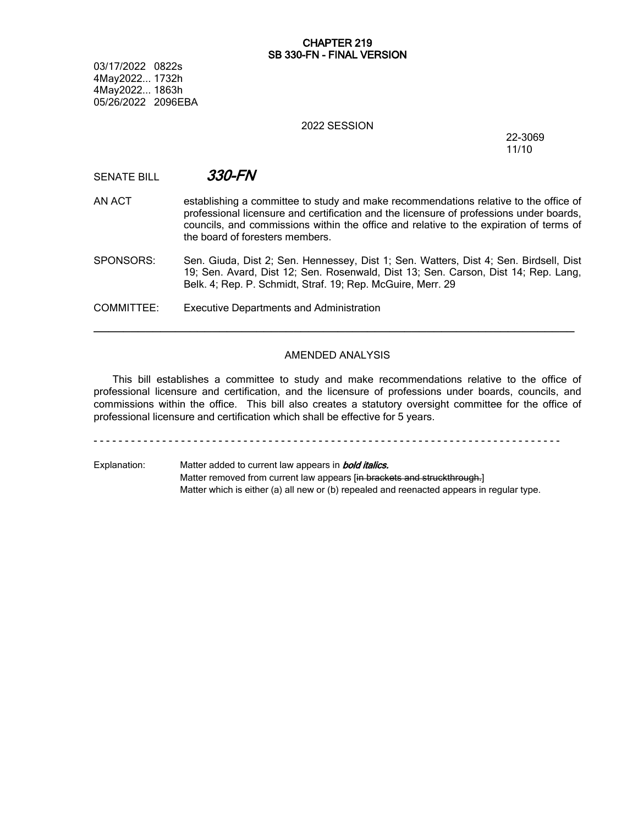# **CHAPTER 219 SB 330-FN - FINAL VERSION**

03/17/2022 0822s 4May2022... 1732h 4May2022... 1863h 05/26/2022 2096EBA

## 2022 SESSION

### 22-3069 11/10

SENATE BILL *330-FN*

AN ACT establishing a committee to study and make recommendations relative to the office of professional licensure and certification and the licensure of professions under boards, councils, and commissions within the office and relative to the expiration of terms of the board of foresters members.

SPONSORS: Sen. Giuda, Dist 2; Sen. Hennessey, Dist 1; Sen. Watters, Dist 4; Sen. Birdsell, Dist 19; Sen. Avard, Dist 12; Sen. Rosenwald, Dist 13; Sen. Carson, Dist 14; Rep. Lang, Belk. 4; Rep. P. Schmidt, Straf. 19; Rep. McGuire, Merr. 29

COMMITTEE: Executive Departments and Administration

# AMENDED ANALYSIS

─────────────────────────────────────────────────────────────────

This bill establishes a committee to study and make recommendations relative to the office of professional licensure and certification, and the licensure of professions under boards, councils, and commissions within the office. This bill also creates a statutory oversight committee for the office of professional licensure and certification which shall be effective for 5 years.

- - - - - - - - - - - - - - - - - - - - - - - - - - - - - - - - - - - - - - - - - - - - - - - - - - - - - - - - - - - - - - - - - - - - - - - - - - -

Explanation: Matter added to current law appears in *bold italics.* Matter removed from current law appears [in brackets and struckthrough.] Matter which is either (a) all new or (b) repealed and reenacted appears in regular type.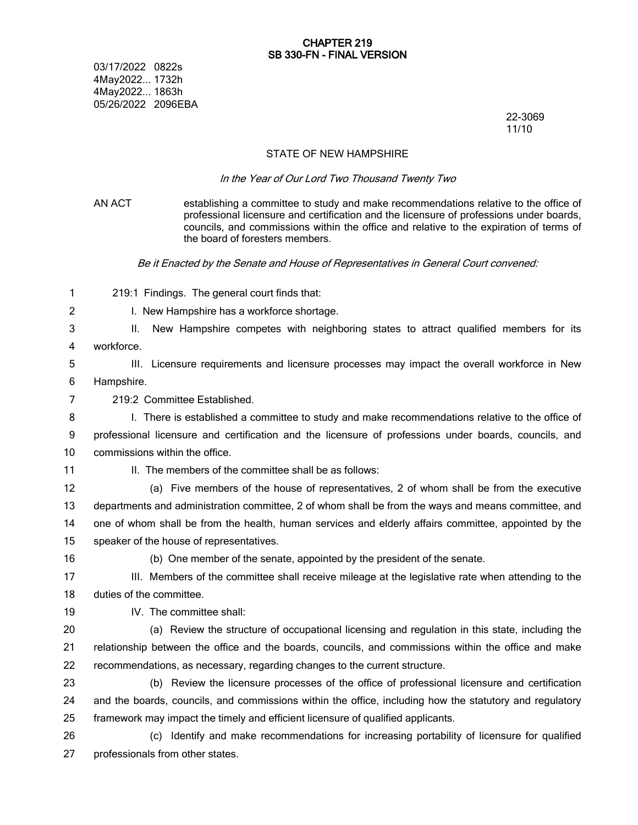03/17/2022 0822s 4May2022... 1732h 4May2022... 1863h 05/26/2022 2096EBA

22-3069 11/10

## STATE OF NEW HAMPSHIRE

#### *In the Year of Our Lord Two Thousand Twenty Two*

- AN ACT establishing a committee to study and make recommendations relative to the office of professional licensure and certification and the licensure of professions under boards, councils, and commissions within the office and relative to the expiration of terms of the board of foresters members. *Be it Enacted by the Senate and House of Representatives in General Court convened:* 219:1 Findings. The general court finds that: I. New Hampshire has a workforce shortage. II. New Hampshire competes with neighboring states to attract qualified members for its workforce. III. Licensure requirements and licensure processes may impact the overall workforce in New Hampshire. 219:2 Committee Established. I. There is established a committee to study and make recommendations relative to the office of professional licensure and certification and the licensure of professions under boards, councils, and commissions within the office. II. The members of the committee shall be as follows: (a) Five members of the house of representatives, 2 of whom shall be from the executive departments and administration committee, 2 of whom shall be from the ways and means committee, and one of whom shall be from the health, human services and elderly affairs committee, appointed by the speaker of the house of representatives. (b) One member of the senate, appointed by the president of the senate. III. Members of the committee shall receive mileage at the legislative rate when attending to the duties of the committee. IV. The committee shall: (a) Review the structure of occupational licensing and regulation in this state, including the relationship between the office and the boards, councils, and commissions within the office and make recommendations, as necessary, regarding changes to the current structure. (b) Review the licensure processes of the office of professional licensure and certification and the boards, councils, and commissions within the office, including how the statutory and regulatory framework may impact the timely and efficient licensure of qualified applicants. (c) Identify and make recommendations for increasing portability of licensure for qualified 1 2 3 4 5 6 7 8 9 10 11 12 13 14 15 16 17 18 19 20 21 22 23 24 25 26
- professionals from other states. 27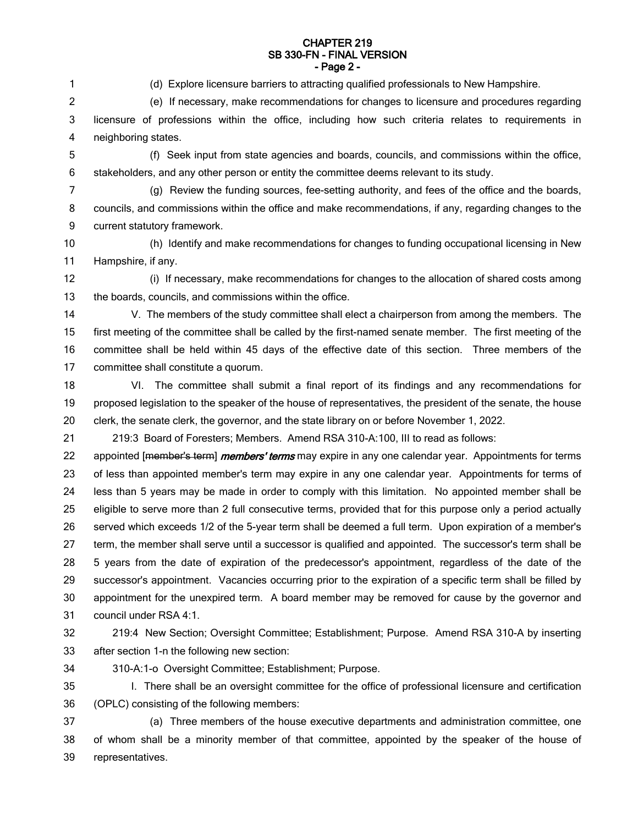#### **CHAPTER 219 SB 330-FN - FINAL VERSION - Page 2 -**

1

(d) Explore licensure barriers to attracting qualified professionals to New Hampshire.

(f) Seek input from state agencies and boards, councils, and commissions within the office,

(e) If necessary, make recommendations for changes to licensure and procedures regarding 2

licensure of professions within the office, including how such criteria relates to requirements in neighboring states. 3 4

- 5 6
- 7 8

stakeholders, and any other person or entity the committee deems relevant to its study. (g) Review the funding sources, fee-setting authority, and fees of the office and the boards, councils, and commissions within the office and make recommendations, if any, regarding changes to the

current statutory framework. 9

(h) Identify and make recommendations for changes to funding occupational licensing in New Hampshire, if any. 10 11

(i) If necessary, make recommendations for changes to the allocation of shared costs among the boards, councils, and commissions within the office. 12 13

- V. The members of the study committee shall elect a chairperson from among the members. The first meeting of the committee shall be called by the first-named senate member. The first meeting of the committee shall be held within 45 days of the effective date of this section. Three members of the committee shall constitute a quorum. 14 15 16 17
- VI. The committee shall submit a final report of its findings and any recommendations for proposed legislation to the speaker of the house of representatives, the president of the senate, the house clerk, the senate clerk, the governor, and the state library on or before November 1, 2022. 18 19 20

219:3 Board of Foresters; Members. Amend RSA 310-A:100, III to read as follows: 21

appointed [member's term] *members' terms* may expire in any one calendar year. Appointments for terms of less than appointed member's term may expire in any one calendar year. Appointments for terms of less than 5 years may be made in order to comply with this limitation. No appointed member shall be eligible to serve more than 2 full consecutive terms, provided that for this purpose only a period actually served which exceeds 1/2 of the 5-year term shall be deemed a full term. Upon expiration of a member's term, the member shall serve until a successor is qualified and appointed. The successor's term shall be 5 years from the date of expiration of the predecessor's appointment, regardless of the date of the successor's appointment. Vacancies occurring prior to the expiration of a specific term shall be filled by appointment for the unexpired term. A board member may be removed for cause by the governor and council under RSA 4:1. 22 23 24 25 26 27 28 29 30 31

32

219:4 New Section; Oversight Committee; Establishment; Purpose. Amend RSA 310-A by inserting after section 1-n the following new section: 33

34

310-A:1-o Oversight Committee; Establishment; Purpose.

35

I. There shall be an oversight committee for the office of professional licensure and certification

(OPLC) consisting of the following members: 36

(a) Three members of the house executive departments and administration committee, one of whom shall be a minority member of that committee, appointed by the speaker of the house of representatives. 37 38 39